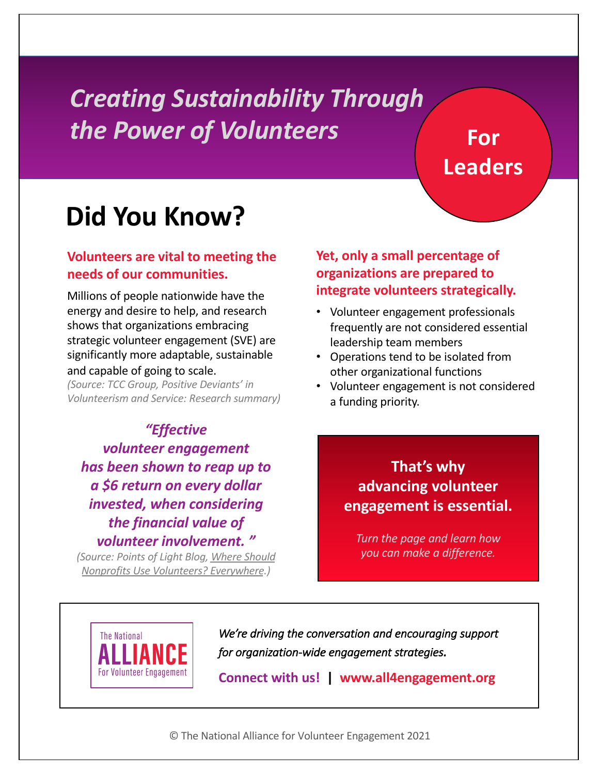### *Creating Sustainability Through the Power of Volunteers*

### **For Leaders**

## **Did You Know?**

#### **Volunteers are vital to meeting the needs of our communities.**

Millions of people nationwide have the energy and desire to help, and research shows that organizations embracing strategic volunteer engagement (SVE) are significantly more adaptable, sustainable and capable of going to scale.

*(Source: TCC Group, Positive Deviants' in Volunteerism and Service: Research summary)*

*"Effective volunteer engagement has been shown to reap up to a \$6 return on every dollar invested, when considering the financial value of volunteer involvement. "*

*(Source: Points of Light Blog, Where Should [Nonprofits Use Volunteers? Everywher](https://www.pointsoflight.org/blog/where-should-nonprofits-use-volunteers-everywhere/)e.)*

#### **Yet, only a small percentage of organizations are prepared to integrate volunteers strategically.**

- Volunteer engagement professionals frequently are not considered essential leadership team members
- Operations tend to be isolated from other organizational functions
- Volunteer engagement is not considered a funding priority.

#### **That's why advancing volunteer engagement is essential.**

*Turn the page and learn how you can make a difference.*



*We're driving the conversation and encouraging support for organization-wide engagement strategies.*

**Connect with us! | www.all4engagement.org**